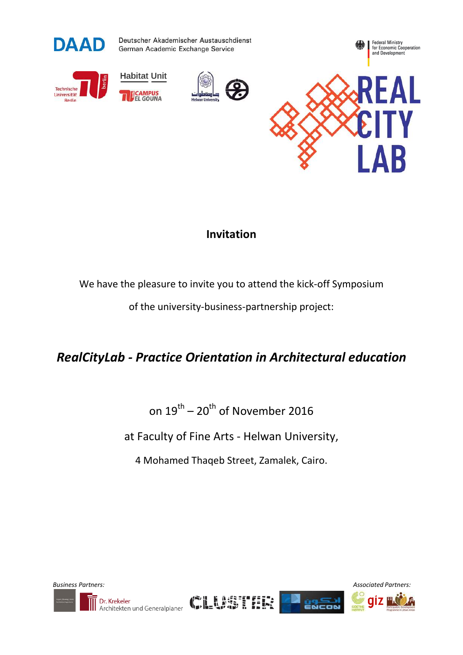

Deutscher Akademischer Austauschdienst German Academic Exchange Service









**Federal Ministry** for Economic Cooperation<br>and Development

## **Invitation**

We have the pleasure to invite you to attend the kick-off Symposium

of the university-business-partnership project:

## *RealCityLab - Practice Orientation in Architectural education*

on  $19^{th}$  –  $20^{th}$  of November 2016

at Faculty of Fine Arts - Helwan University,

4 Mohamed Thaqeb Street, Zamalek, Cairo.







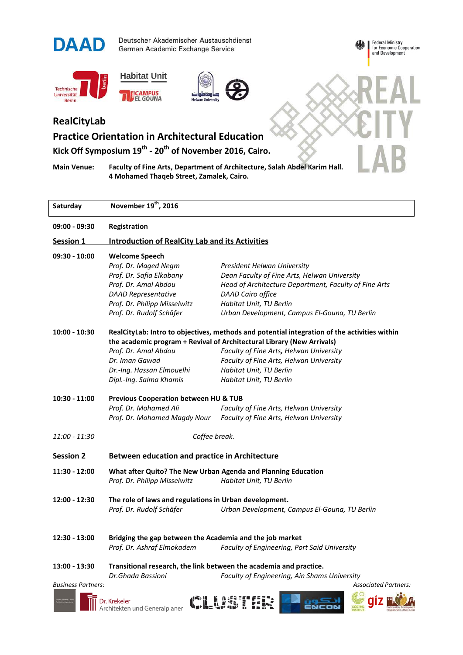

Deutscher Akademischer Austauschdienst German Academic Exchange Service









Federal Ministry<br>for Economic Cooperation<br>and Development

## **RealCityLab**

**Practice Orientation in Architectural Education**

**Kick Off Symposium 19th - 20th of November 2016, Cairo.**

**Main Venue: Faculty of Fine Arts, Department of Architecture, Salah Abdel Karim Hall. 4 Mohamed Thaqeb Street, Zamalek, Cairo.**

| Saturday                  | November 19 <sup>th</sup> , 2016                                                             |                                                                      |                             |  |
|---------------------------|----------------------------------------------------------------------------------------------|----------------------------------------------------------------------|-----------------------------|--|
| $09:00 - 09:30$           | Registration                                                                                 |                                                                      |                             |  |
| <b>Session 1</b>          | <b>Introduction of RealCity Lab and its Activities</b>                                       |                                                                      |                             |  |
| $09:30 - 10:00$           | <b>Welcome Speech</b>                                                                        |                                                                      |                             |  |
|                           | Prof. Dr. Maged Negm                                                                         | President Helwan University                                          |                             |  |
|                           | Prof. Dr. Safia Elkabany                                                                     | Dean Faculty of Fine Arts, Helwan University                         |                             |  |
|                           | Prof. Dr. Amal Abdou                                                                         | Head of Architecture Department, Faculty of Fine Arts                |                             |  |
|                           | <b>DAAD Representative</b>                                                                   | DAAD Cairo office                                                    |                             |  |
|                           | Prof. Dr. Philipp Misselwitz                                                                 | Habitat Unit, TU Berlin                                              |                             |  |
|                           | Prof. Dr. Rudolf Schäfer                                                                     | Urban Development, Campus El-Gouna, TU Berlin                        |                             |  |
| $10:00 - 10:30$           | RealCityLab: Intro to objectives, methods and potential integration of the activities within |                                                                      |                             |  |
|                           | the academic program + Revival of Architectural Library (New Arrivals)                       |                                                                      |                             |  |
|                           | Prof. Dr. Amal Abdou                                                                         | Faculty of Fine Arts, Helwan University                              |                             |  |
|                           | Dr. Iman Gawad                                                                               | Faculty of Fine Arts, Helwan University                              |                             |  |
|                           | Dr.-Ing. Hassan Elmouelhi                                                                    | Habitat Unit, TU Berlin                                              |                             |  |
|                           | Dipl.-Ing. Salma Khamis                                                                      | Habitat Unit, TU Berlin                                              |                             |  |
| $10:30 - 11:00$           | <b>Previous Cooperation between HU &amp; TUB</b>                                             |                                                                      |                             |  |
|                           | Prof. Dr. Mohamed Ali                                                                        | Faculty of Fine Arts, Helwan University                              |                             |  |
|                           |                                                                                              | Prof. Dr. Mohamed Magdy Nour Faculty of Fine Arts, Helwan University |                             |  |
| 11:00 - 11:30             | Coffee break.                                                                                |                                                                      |                             |  |
| <b>Session 2</b>          | <b>Between education and practice in Architecture</b>                                        |                                                                      |                             |  |
| 11:30 - 12:00             | What after Quito? The New Urban Agenda and Planning Education                                |                                                                      |                             |  |
|                           | Prof. Dr. Philipp Misselwitz                                                                 | Habitat Unit, TU Berlin                                              |                             |  |
| 12:00 - 12:30             | The role of laws and regulations in Urban development.                                       |                                                                      |                             |  |
|                           | Prof. Dr. Rudolf Schäfer                                                                     | Urban Development, Campus El-Gouna, TU Berlin                        |                             |  |
| 12:30 - 13:00             | Bridging the gap between the Academia and the job market                                     |                                                                      |                             |  |
|                           | Prof. Dr. Ashraf Elmokadem<br>Faculty of Engineering, Port Said University                   |                                                                      |                             |  |
| 13:00 - 13:30             | Transitional research, the link between the academia and practice.                           |                                                                      |                             |  |
|                           | Dr.Ghada Bassioni                                                                            | Faculty of Engineering, Ain Shams University                         |                             |  |
| <b>Business Partners:</b> |                                                                                              |                                                                      | <b>Associated Partners:</b> |  |
|                           | Dr. Krekeler<br>Architekten und Generalplaner                                                |                                                                      |                             |  |